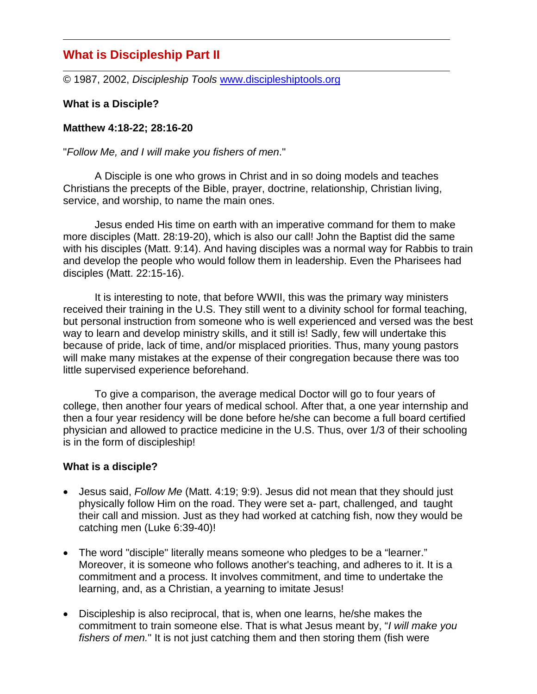# **What is Discipleship Part II**

© 1987, 2002, *Discipleship Tools* www.discipleshiptools.org

## **What is a Disciple?**

## **Matthew 4:18-22; 28:16-20**

#### "*Follow Me, and I will make you fishers of men*."

A Disciple is one who grows in Christ and in so doing models and teaches Christians the precepts of the Bible, prayer, doctrine, relationship, Christian living, service, and worship, to name the main ones.

Jesus ended His time on earth with an imperative command for them to make more disciples (Matt. 28:19-20), which is also our call! John the Baptist did the same with his disciples (Matt. 9:14). And having disciples was a normal way for Rabbis to train and develop the people who would follow them in leadership. Even the Pharisees had disciples (Matt. 22:15-16).

It is interesting to note, that before WWII, this was the primary way ministers received their training in the U.S. They still went to a divinity school for formal teaching, but personal instruction from someone who is well experienced and versed was the best way to learn and develop ministry skills, and it still is! Sadly, few will undertake this because of pride, lack of time, and/or misplaced priorities. Thus, many young pastors will make many mistakes at the expense of their congregation because there was too little supervised experience beforehand.

To give a comparison, the average medical Doctor will go to four years of college, then another four years of medical school. After that, a one year internship and then a four year residency will be done before he/she can become a full board certified physician and allowed to practice medicine in the U.S. Thus, over 1/3 of their schooling is in the form of discipleship!

#### **What is a disciple?**

- Jesus said, *Follow Me* (Matt. 4:19; 9:9). Jesus did not mean that they should just physically follow Him on the road. They were set a- part, challenged, and taught their call and mission. Just as they had worked at catching fish, now they would be catching men (Luke 6:39-40)!
- The word "disciple" literally means someone who pledges to be a "learner." Moreover, it is someone who follows another's teaching, and adheres to it. It is a commitment and a process. It involves commitment, and time to undertake the learning, and, as a Christian, a yearning to imitate Jesus!
- Discipleship is also reciprocal, that is, when one learns, he/she makes the commitment to train someone else. That is what Jesus meant by, "*I will make you fishers of men.*" It is not just catching them and then storing them (fish were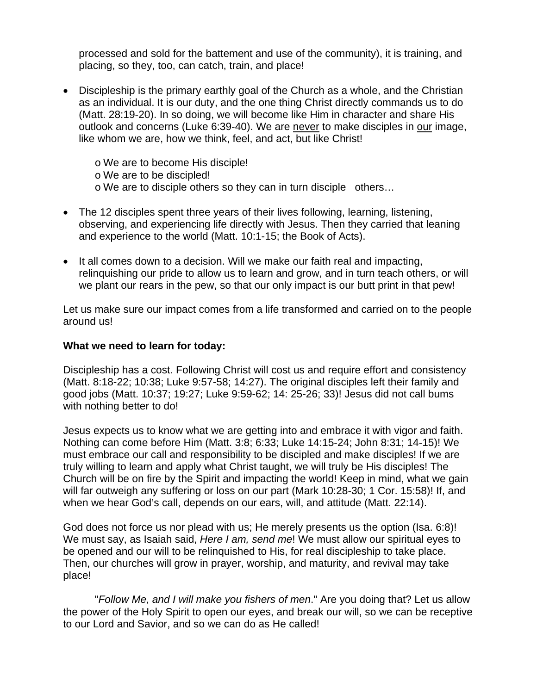processed and sold for the battement and use of the community), it is training, and placing, so they, too, can catch, train, and place!

- Discipleship is the primary earthly goal of the Church as a whole, and the Christian as an individual. It is our duty, and the one thing Christ directly commands us to do (Matt. 28:19-20). In so doing, we will become like Him in character and share His outlook and concerns (Luke 6:39-40). We are never to make disciples in our image, like whom we are, how we think, feel, and act, but like Christ!
	- o We are to become His disciple!
	- o We are to be discipled!
	- o We are to disciple others so they can in turn disciple others…
- The 12 disciples spent three years of their lives following, learning, listening, observing, and experiencing life directly with Jesus. Then they carried that leaning and experience to the world (Matt. 10:1-15; the Book of Acts).
- It all comes down to a decision. Will we make our faith real and impacting, relinquishing our pride to allow us to learn and grow, and in turn teach others, or will we plant our rears in the pew, so that our only impact is our butt print in that pew!

Let us make sure our impact comes from a life transformed and carried on to the people around us!

#### **What we need to learn for today:**

Discipleship has a cost. Following Christ will cost us and require effort and consistency (Matt. 8:18-22; 10:38; Luke 9:57-58; 14:27). The original disciples left their family and good jobs (Matt. 10:37; 19:27; Luke 9:59-62; 14: 25-26; 33)! Jesus did not call bums with nothing better to do!

Jesus expects us to know what we are getting into and embrace it with vigor and faith. Nothing can come before Him (Matt. 3:8; 6:33; Luke 14:15-24; John 8:31; 14-15)! We must embrace our call and responsibility to be discipled and make disciples! If we are truly willing to learn and apply what Christ taught, we will truly be His disciples! The Church will be on fire by the Spirit and impacting the world! Keep in mind, what we gain will far outweigh any suffering or loss on our part (Mark 10:28-30; 1 Cor. 15:58)! If, and when we hear God's call, depends on our ears, will, and attitude (Matt. 22:14).

God does not force us nor plead with us; He merely presents us the option (Isa. 6:8)! We must say, as Isaiah said, *Here I am, send me*! We must allow our spiritual eyes to be opened and our will to be relinquished to His, for real discipleship to take place. Then, our churches will grow in prayer, worship, and maturity, and revival may take place!

"*Follow Me, and I will make you fishers of men*." Are you doing that? Let us allow the power of the Holy Spirit to open our eyes, and break our will, so we can be receptive to our Lord and Savior, and so we can do as He called!